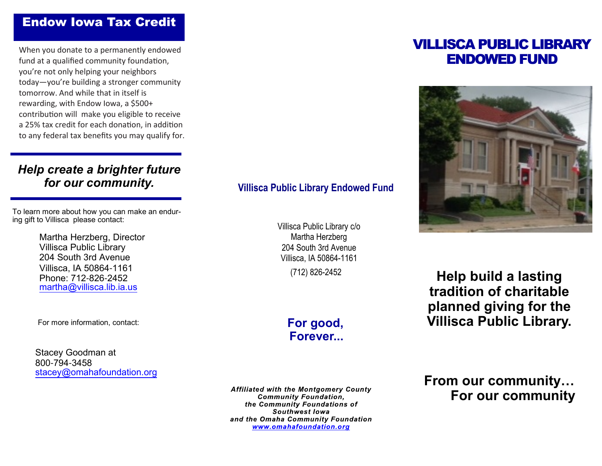# Endow Iowa Tax Credit

When you donate to a permanently endowed fund at a qualified community foundation, you're not only helping your neighbors today—you're building a stronger community tomorrow. And while that in itself is rewarding, with Endow Iowa, a \$500+ contribution will make you eligible to receive a 25% tax credit for each donation, in addition to any federal tax benefits you may qualify for.

# *Help create a brighter future for our community.*

To learn more about how you can make an enduring gift to Villisca please contact:

> Martha Herzberg, DirectorVillisca Public Library 204 South 3rd Avenue Villisca, IA 50864-1161 Phone: 712-826-2452martha@villisca.lib.ia.us

For more information, contact:

Stacey Goodman at 800-794-3458stacey@omahafoundation.org

### **Villisca Public Library Endowed Fund**

Villisca Public Library c/o Martha Herzberg 204 South 3rd Avenue Villisca, IA 50864-1161 (712) 826-2452

> **For good,Forever...**

**Affiliated with the Montgomery County Community Foundation,** the Community Foundations of Southwest lowa and the Omaha Community Foundation www.omahafoundation.org

# VILLISCA PUBLIC LIBRARY ENDOWED FUND



**Help build a lasting tradition of charitable planned giving for the Villisca Public Library.**

**From our community…For our community**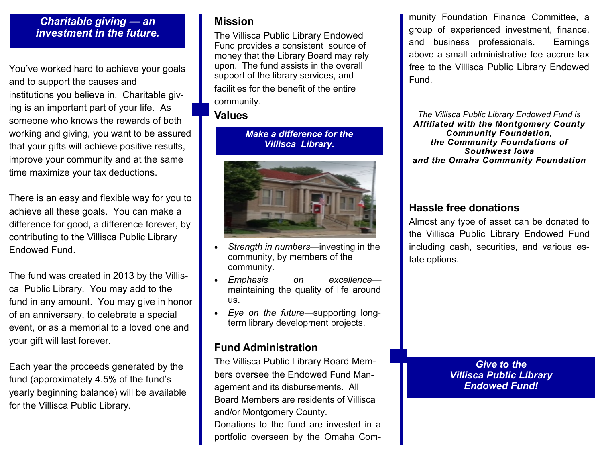#### *Charitable giving* **—** *an investment in the future.*

You've worked hard to achieve your goals and to support the causes and institutions you believe in. Charitable giving is an important part of your life. As someone who knows the rewards of both working and giving, you want to be assured that your gifts will achieve positive results, improve your community and at the same time maximize your tax deductions.

There is an easy and flexible way for you to achieve all these goals. You can make a difference for good, a difference forever, by contributing to the Villisca Public LibraryEndowed Fund.

The fund was created in 2013 by the Villisca Public Library. You may add to the fund in any amount. You may give in honor of an anniversary, to celebrate a special event, or as a memorial to a loved one and your gift will last forever.

Each year the proceeds generated by the fund (approximately 4.5% of the fund's yearly beginning balance) will be available for the Villisca Public Library.

## **Mission**

 The Villisca Public Library Endowed Fund provides a consistent source of money that the Library Board may rely upon. The fund assists in the overall support of the library services, and facilities for the benefit of the entire community.

#### **Values**

*Make a difference for the Villisca Library.*



- • *Strength in numbers*—investing in thecommunity, by members of thecommunity.
- •*Emphasis* on maintaining the quality of life aroundexcellenceus.
- • *Eye on the future*—supporting longterm library development projects.

# **Fund Administration**

 The Villisca Public Library Board Members oversee the Endowed Fund Management and its disbursements. All Board Members are residents of Villisca and/or Montgomery County.Donations to the fund are invested in a portfolio overseen by the Omaha Community Foundation Finance Committee, a group of experienced investment, finance, and business professionals. Earnings above a small administrative fee accrue tax free to the Villisca Public Library Endowed Fund.

*The Villisca Public Library Endowed Fund is***Affiliated with the Montgomery County Community Foundation,** the Community Foundations of **Southwest lowa** and the Omaha Community Foundation

## **Hassle free donations**

 Almost any type of asset can be donated to the Villisca Public Library Endowed Fund including cash, securities, and various estate options.

> *Give to the Villisca Public LibraryEndowed Fund!*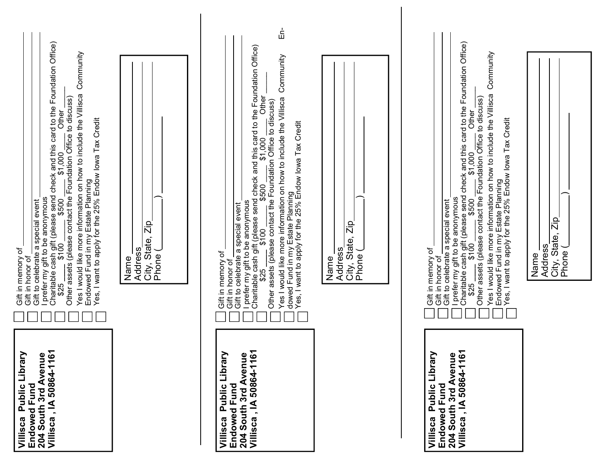| Villisca, IA 50864-1161<br>Villisca Public Library<br>204 South 3rd Avenue<br>Endowed Fund        | l prefer my gift to be anonymous<br>Charitable cash gift (please send check and this card to the Foundation Office)<br>\$25 ______ \$100 ______ \$500 ______ \$1,000 ________ Other<br>Community<br>Yes I would like more information on how to include the Villisca<br>Endowed Fund in my Estate Planning<br>Yes, I want to apply for the 25% Endow lowa Tax Credit<br>way and writing with the Foundation Office to discuss)<br>Gift to celebrate a special event<br>Gift in memory of<br>Gift in honor of                                                                                                                                                                                                                                                                                         |
|---------------------------------------------------------------------------------------------------|------------------------------------------------------------------------------------------------------------------------------------------------------------------------------------------------------------------------------------------------------------------------------------------------------------------------------------------------------------------------------------------------------------------------------------------------------------------------------------------------------------------------------------------------------------------------------------------------------------------------------------------------------------------------------------------------------------------------------------------------------------------------------------------------------|
|                                                                                                   | City, State, Zip<br><b>Address</b><br>Phone (<br>Name                                                                                                                                                                                                                                                                                                                                                                                                                                                                                                                                                                                                                                                                                                                                                |
| Villisca, IA 50864-1161<br>Villisca Public Library<br>204 South 3rd Avenue<br><b>Endowed Fund</b> | 군<br>민<br>Gift to celebrate a special event<br>I prefer my gift to be anonymous<br>Charitable cash gift (please send check and this card to the Foundation Office)<br>Community<br>Other<br>Yes I would like more information on how to include the Villisca<br>$$25 \over 3100 \over $500 \over $100 \over $500 \over $1,000 \over $1,000 \over $0100 \over $100 \over $100 \over $100 \over $1000 \over $100 \over $1000 \over $1000 \over $1000 \over $1000 \over $1000 \over $1000 \over $1000 \over $1000 \over $1000 \over $1000 \over $1000 \over $1000 \over $1000 \over $1000 \over $1000 \over $1000 \over $1000 \over $1000 \over $1000 \over $10$<br>Yes, I want to apply for the 25% Endow lowa Tax Credit<br>dowed Fund in my Estate Planning<br>Gift in memory of<br>Gift in honor of |
|                                                                                                   | State, Zip<br>Address<br>Phone (<br>Name<br>City,                                                                                                                                                                                                                                                                                                                                                                                                                                                                                                                                                                                                                                                                                                                                                    |
| Villisca, IA 50864-1161<br>Villisca Public Library<br>204 South 3rd Avenue<br><b>Endowed Fund</b> | I prefer my gift to be anonymous<br>Charitable cash gift (please send check and this card to the Foundation Office)<br>\$25 _____\$100 ______\$500 _____\$1,000 _____Other_____<br>Other assets (please contact the Foundation Office to di<br>Community<br>Yes I would like more information on how to include the Villisca<br>Endowed Fund in my Estate Planning<br>Yes, I want to apply for the 25% Endow Iowa Tax Credit<br>Gift to celebrate a special event<br>Gift in memory of<br>Gift in honor of                                                                                                                                                                                                                                                                                           |
|                                                                                                   | City, State, Zip<br>Address<br>Phone (<br>Name                                                                                                                                                                                                                                                                                                                                                                                                                                                                                                                                                                                                                                                                                                                                                       |